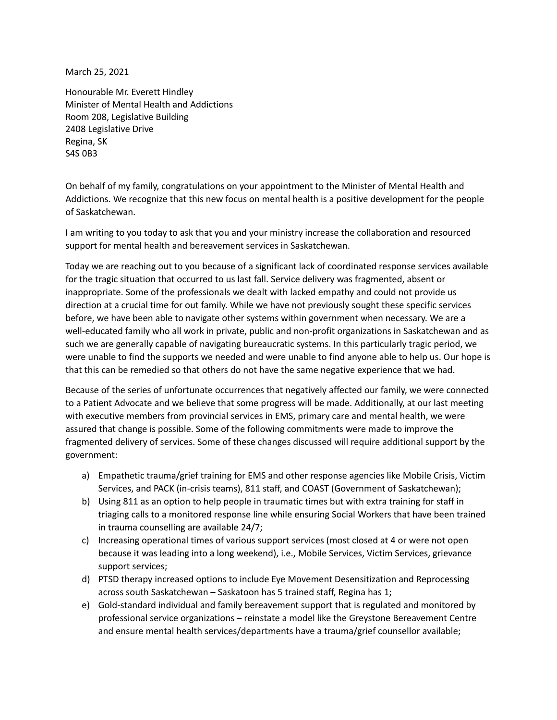March 25, 2021

Honourable Mr. Everett Hindley Minister of Mental Health and Addictions Room 208, Legislative Building 2408 Legislative Drive Regina, SK S4S 0B3

On behalf of my family, congratulations on your appointment to the Minister of Mental Health and Addictions. We recognize that this new focus on mental health is a positive development for the people of Saskatchewan.

I am writing to you today to ask that you and your ministry increase the collaboration and resourced support for mental health and bereavement services in Saskatchewan.

Today we are reaching out to you because of a significant lack of coordinated response services available for the tragic situation that occurred to us last fall. Service delivery was fragmented, absent or inappropriate. Some of the professionals we dealt with lacked empathy and could not provide us direction at a crucial time for out family. While we have not previously sought these specific services before, we have been able to navigate other systems within government when necessary. We are a well-educated family who all work in private, public and non-profit organizations in Saskatchewan and as such we are generally capable of navigating bureaucratic systems. In this particularly tragic period, we were unable to find the supports we needed and were unable to find anyone able to help us. Our hope is that this can be remedied so that others do not have the same negative experience that we had.

Because of the series of unfortunate occurrences that negatively affected our family, we were connected to a Patient Advocate and we believe that some progress will be made. Additionally, at our last meeting with executive members from provincial services in EMS, primary care and mental health, we were assured that change is possible. Some of the following commitments were made to improve the fragmented delivery of services. Some of these changes discussed will require additional support by the government:

- a) Empathetic trauma/grief training for EMS and other response agencies like Mobile Crisis, Victim Services, and PACK (in-crisis teams), 811 staff, and COAST (Government of Saskatchewan);
- b) Using 811 as an option to help people in traumatic times but with extra training for staff in triaging calls to a monitored response line while ensuring Social Workers that have been trained in trauma counselling are available 24/7;
- c) Increasing operational times of various support services (most closed at 4 or were not open because it was leading into a long weekend), i.e., Mobile Services, Victim Services, grievance support services;
- d) PTSD therapy increased options to include Eye Movement Desensitization and Reprocessing across south Saskatchewan – Saskatoon has 5 trained staff, Regina has 1;
- e) Gold-standard individual and family bereavement support that is regulated and monitored by professional service organizations – reinstate a model like the Greystone Bereavement Centre and ensure mental health services/departments have a trauma/grief counsellor available;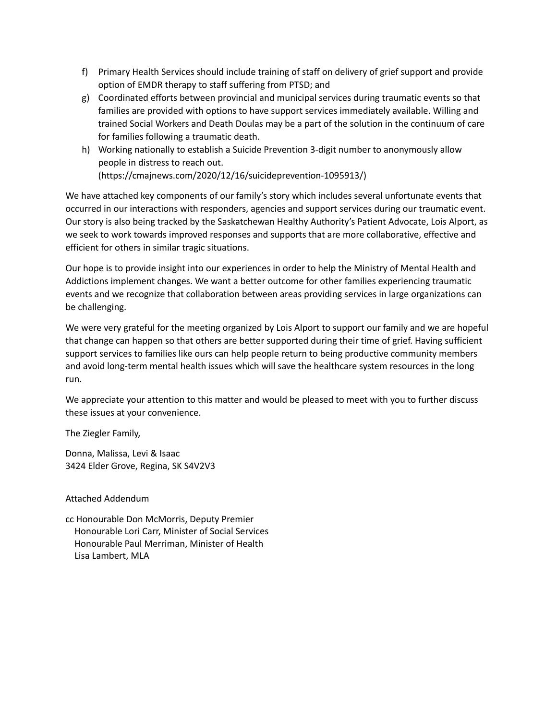- f) Primary Health Services should include training of staff on delivery of grief support and provide option of EMDR therapy to staff suffering from PTSD; and
- g) Coordinated efforts between provincial and municipal services during traumatic events so that families are provided with options to have support services immediately available. Willing and trained Social Workers and Death Doulas may be a part of the solution in the continuum of care for families following a traumatic death.
- h) Working nationally to establish a Suicide Prevention 3-digit number to anonymously allow people in distress to reach out. (https://cmajnews.com/2020/12/16/suicideprevention-1095913/)

We have attached key components of our family's story which includes several unfortunate events that occurred in our interactions with responders, agencies and support services during our traumatic event. Our story is also being tracked by the Saskatchewan Healthy Authority's Patient Advocate, Lois Alport, as we seek to work towards improved responses and supports that are more collaborative, effective and efficient for others in similar tragic situations.

Our hope is to provide insight into our experiences in order to help the Ministry of Mental Health and Addictions implement changes. We want a better outcome for other families experiencing traumatic events and we recognize that collaboration between areas providing services in large organizations can be challenging.

We were very grateful for the meeting organized by Lois Alport to support our family and we are hopeful that change can happen so that others are better supported during their time of grief. Having sufficient support services to families like ours can help people return to being productive community members and avoid long-term mental health issues which will save the healthcare system resources in the long run.

We appreciate your attention to this matter and would be pleased to meet with you to further discuss these issues at your convenience.

The Ziegler Family,

Donna, Malissa, Levi & Isaac 3424 Elder Grove, Regina, SK S4V2V3

Attached Addendum

cc Honourable Don McMorris, Deputy Premier Honourable Lori Carr, Minister of Social Services Honourable Paul Merriman, Minister of Health Lisa Lambert, MLA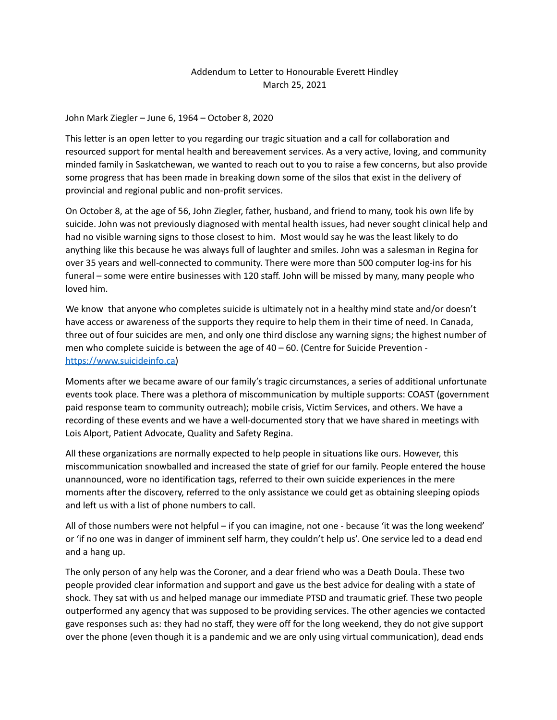## Addendum to Letter to Honourable Everett Hindley March 25, 2021

## John Mark Ziegler – June 6, 1964 – October 8, 2020

This letter is an open letter to you regarding our tragic situation and a call for collaboration and resourced support for mental health and bereavement services. As a very active, loving, and community minded family in Saskatchewan, we wanted to reach out to you to raise a few concerns, but also provide some progress that has been made in breaking down some of the silos that exist in the delivery of provincial and regional public and non-profit services.

On October 8, at the age of 56, John Ziegler, father, husband, and friend to many, took his own life by suicide. John was not previously diagnosed with mental health issues, had never sought clinical help and had no visible warning signs to those closest to him. Most would say he was the least likely to do anything like this because he was always full of laughter and smiles. John was a salesman in Regina for over 35 years and well-connected to community. There were more than 500 computer log-ins for his funeral – some were entire businesses with 120 staff. John will be missed by many, many people who loved him.

We know that anyone who completes suicide is ultimately not in a healthy mind state and/or doesn't have access or awareness of the supports they require to help them in their time of need. In Canada, three out of four suicides are men, and only one third disclose any warning signs; the highest number of men who complete suicide is between the age of  $40 - 60$ . (Centre for Suicide Prevention [https://www.suicideinfo.ca\)](https://www.suicideinfo.ca)

Moments after we became aware of our family's tragic circumstances, a series of additional unfortunate events took place. There was a plethora of miscommunication by multiple supports: COAST (government paid response team to community outreach); mobile crisis, Victim Services, and others. We have a recording of these events and we have a well-documented story that we have shared in meetings with Lois Alport, Patient Advocate, Quality and Safety Regina.

All these organizations are normally expected to help people in situations like ours. However, this miscommunication snowballed and increased the state of grief for our family. People entered the house unannounced, wore no identification tags, referred to their own suicide experiences in the mere moments after the discovery, referred to the only assistance we could get as obtaining sleeping opiods and left us with a list of phone numbers to call.

All of those numbers were not helpful – if you can imagine, not one - because 'it was the long weekend' or 'if no one was in danger of imminent self harm, they couldn't help us'. One service led to a dead end and a hang up.

The only person of any help was the Coroner, and a dear friend who was a Death Doula. These two people provided clear information and support and gave us the best advice for dealing with a state of shock. They sat with us and helped manage our immediate PTSD and traumatic grief. These two people outperformed any agency that was supposed to be providing services. The other agencies we contacted gave responses such as: they had no staff, they were off for the long weekend, they do not give support over the phone (even though it is a pandemic and we are only using virtual communication), dead ends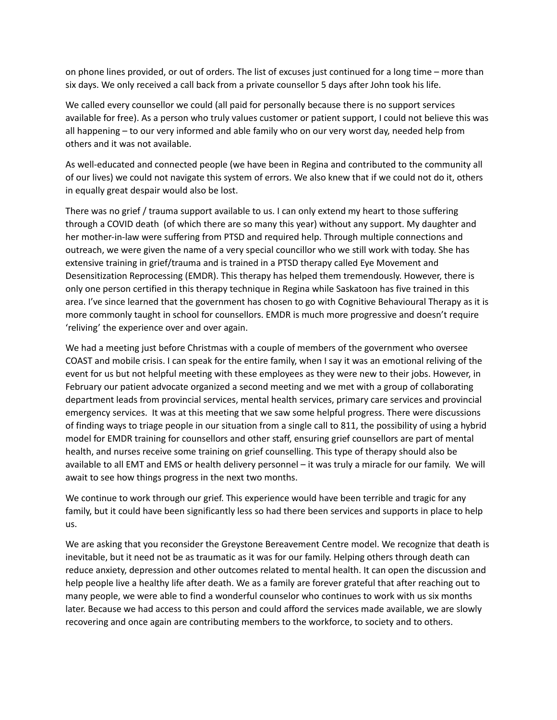on phone lines provided, or out of orders. The list of excuses just continued for a long time – more than six days. We only received a call back from a private counsellor 5 days after John took his life.

We called every counsellor we could (all paid for personally because there is no support services available for free). As a person who truly values customer or patient support, I could not believe this was all happening – to our very informed and able family who on our very worst day, needed help from others and it was not available.

As well-educated and connected people (we have been in Regina and contributed to the community all of our lives) we could not navigate this system of errors. We also knew that if we could not do it, others in equally great despair would also be lost.

There was no grief / trauma support available to us. I can only extend my heart to those suffering through a COVID death (of which there are so many this year) without any support. My daughter and her mother-in-law were suffering from PTSD and required help. Through multiple connections and outreach, we were given the name of a very special councillor who we still work with today. She has extensive training in grief/trauma and is trained in a PTSD therapy called Eye Movement and Desensitization Reprocessing (EMDR). This therapy has helped them tremendously. However, there is only one person certified in this therapy technique in Regina while Saskatoon has five trained in this area. I've since learned that the government has chosen to go with Cognitive Behavioural Therapy as it is more commonly taught in school for counsellors. EMDR is much more progressive and doesn't require 'reliving' the experience over and over again.

We had a meeting just before Christmas with a couple of members of the government who oversee COAST and mobile crisis. I can speak for the entire family, when I say it was an emotional reliving of the event for us but not helpful meeting with these employees as they were new to their jobs. However, in February our patient advocate organized a second meeting and we met with a group of collaborating department leads from provincial services, mental health services, primary care services and provincial emergency services. It was at this meeting that we saw some helpful progress. There were discussions of finding ways to triage people in our situation from a single call to 811, the possibility of using a hybrid model for EMDR training for counsellors and other staff, ensuring grief counsellors are part of mental health, and nurses receive some training on grief counselling. This type of therapy should also be available to all EMT and EMS or health delivery personnel – it was truly a miracle for our family. We will await to see how things progress in the next two months.

We continue to work through our grief. This experience would have been terrible and tragic for any family, but it could have been significantly less so had there been services and supports in place to help us.

We are asking that you reconsider the Greystone Bereavement Centre model. We recognize that death is inevitable, but it need not be as traumatic as it was for our family. Helping others through death can reduce anxiety, depression and other outcomes related to mental health. It can open the discussion and help people live a healthy life after death. We as a family are forever grateful that after reaching out to many people, we were able to find a wonderful counselor who continues to work with us six months later. Because we had access to this person and could afford the services made available, we are slowly recovering and once again are contributing members to the workforce, to society and to others.